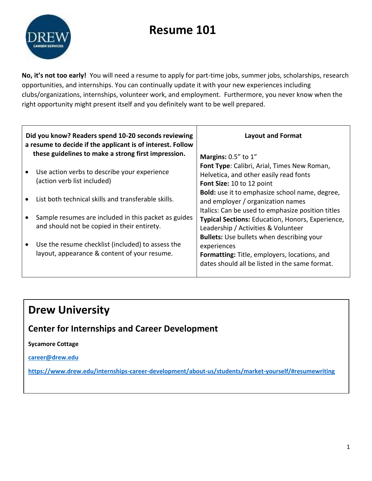# **Resume 101**



**No, it's not too early!** You will need a resume to apply for part-time jobs, summer jobs, scholarships, research opportunities, and internships. You can continually update it with your new experiences including clubs/organizations, internships, volunteer work, and employment. Furthermore, you never know when the right opportunity might present itself and you definitely want to be well prepared.

| Did you know? Readers spend 10-20 seconds reviewing<br>a resume to decide if the applicant is of interest. Follow | <b>Layout and Format</b>                                                                                                                                          |
|-------------------------------------------------------------------------------------------------------------------|-------------------------------------------------------------------------------------------------------------------------------------------------------------------|
| these guidelines to make a strong first impression.                                                               | Margins: $0.5''$ to $1''$                                                                                                                                         |
| Use action verbs to describe your experience<br>(action verb list included)                                       | Font Type: Calibri, Arial, Times New Roman,<br>Helvetica, and other easily read fonts<br>Font Size: 10 to 12 point                                                |
| List both technical skills and transferable skills.                                                               | <b>Bold:</b> use it to emphasize school name, degree,<br>and employer / organization names                                                                        |
| Sample resumes are included in this packet as guides<br>and should not be copied in their entirety.               | Italics: Can be used to emphasize position titles<br>Typical Sections: Education, Honors, Experience,<br>Leadership / Activities & Volunteer                      |
| Use the resume checklist (included) to assess the<br>layout, appearance & content of your resume.                 | <b>Bullets:</b> Use bullets when describing your<br>experiences<br>Formatting: Title, employers, locations, and<br>dates should all be listed in the same format. |

## **Drew University**

## **Center for Internships and Career Development**

### **Sycamore Cottage**

**[career@drew.edu](mailto:career@drew.edu)**

**<https://www.drew.edu/internships-career-development/about-us/students/market-yourself/#resumewriting>**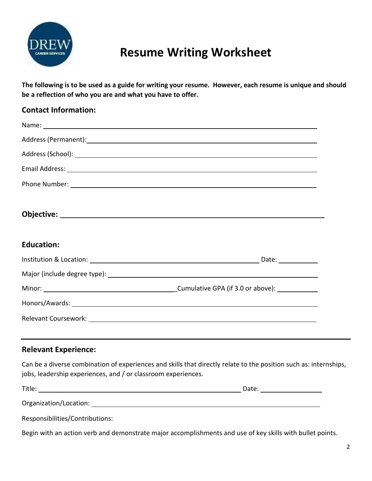

## **Resume Writing Worksheet**

**The following is to be used as a guide for writing your resume. However, each resume is unique and should be a reflection of who you are and what you have to offer.**

| <b>Contact Information:</b> |                                                                                                                                                                                                                                      |
|-----------------------------|--------------------------------------------------------------------------------------------------------------------------------------------------------------------------------------------------------------------------------------|
|                             |                                                                                                                                                                                                                                      |
|                             |                                                                                                                                                                                                                                      |
|                             |                                                                                                                                                                                                                                      |
|                             |                                                                                                                                                                                                                                      |
|                             | Phone Number: <u>National Accounts of the Community of the Community of the Community of the Community of the Community of the Community of the Community of the Community of the Community of the Community of the Community of</u> |
|                             |                                                                                                                                                                                                                                      |
| <b>Education:</b>           |                                                                                                                                                                                                                                      |
|                             |                                                                                                                                                                                                                                      |
|                             |                                                                                                                                                                                                                                      |
|                             |                                                                                                                                                                                                                                      |
|                             |                                                                                                                                                                                                                                      |
|                             |                                                                                                                                                                                                                                      |
| <b>Relevant Experience:</b> | <u> 1989 - Andrea Santa Andrea Santa Andrea Santa Andrea Santa Andrea Santa Andrea Santa Andrea Santa Andrea San</u>                                                                                                                 |

Can be a diverse combination of experiences and skills that directly relate to the position such as: internships, jobs, leadership experiences, and / or classroom experiences.

| $- \cdot$ .<br>. | ---- |
|------------------|------|
|                  |      |

Organization/Location:

Responsibilities/Contributions:

Begin with an action verb and demonstrate major accomplishments and use of key skills with bullet points.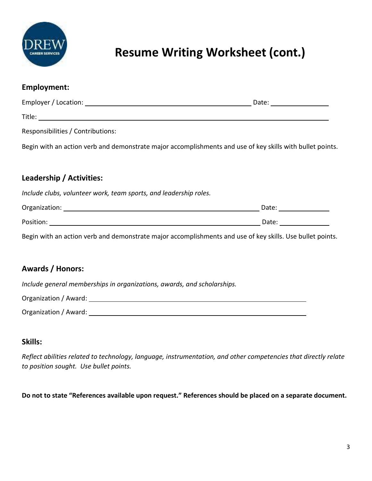

# **Resume Writing Worksheet (cont.)**

| <b>Employment:</b>                                                                                        |                           |
|-----------------------------------------------------------------------------------------------------------|---------------------------|
|                                                                                                           | Date: ___________________ |
|                                                                                                           |                           |
| Responsibilities / Contributions:                                                                         |                           |
| Begin with an action verb and demonstrate major accomplishments and use of key skills with bullet points. |                           |
|                                                                                                           |                           |
| Leadership / Activities:                                                                                  |                           |
| Include clubs, volunteer work, team sports, and leadership roles.                                         |                           |
|                                                                                                           | Date: $\sqrt{ }$          |
|                                                                                                           |                           |
| Begin with an action verb and demonstrate major accomplishments and use of key skills. Use bullet points. |                           |
|                                                                                                           |                           |
|                                                                                                           |                           |

### **Awards / Honors:**

*Include general memberships in organizations, awards, and scholarships.*

| Organization / Award: |  |
|-----------------------|--|
| Organization / Award: |  |

### **Skills:**

*Reflect abilities related to technology, language, instrumentation, and other competencies that directly relate to position sought. Use bullet points.*

**Do not to state "References available upon request." References should be placed on a separate document.**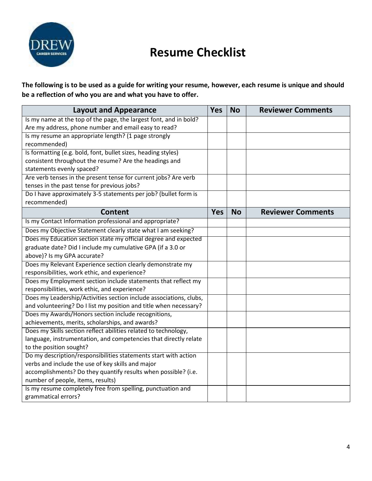

## **Resume Checklist**

**The following is to be used as a guide for writing your resume, however, each resume is unique and should be a reflection of who you are and what you have to offer.**

| Is my name at the top of the page, the largest font, and in bold?<br>Are my address, phone number and email easy to read?<br>Is my resume an appropriate length? (1 page strongly<br>recommended)<br>Is formatting (e.g. bold, font, bullet sizes, heading styles)<br>consistent throughout the resume? Are the headings and<br>statements evenly spaced?<br>Are verb tenses in the present tense for current jobs? Are verb<br>tenses in the past tense for previous jobs?<br>Do I have approximately 3-5 statements per job? (bullet form is<br>recommended)<br><b>Yes</b><br><b>Content</b><br><b>No</b><br><b>Reviewer Comments</b><br>Is my Contact Information professional and appropriate?<br>Does my Objective Statement clearly state what I am seeking?<br>Does my Education section state my official degree and expected<br>graduate date? Did I include my cumulative GPA (if a 3.0 or<br>above)? Is my GPA accurate?<br>Does my Relevant Experience section clearly demonstrate my<br>responsibilities, work ethic, and experience?<br>Does my Employment section include statements that reflect my<br>responsibilities, work ethic, and experience?<br>Does my Leadership/Activities section include associations, clubs,<br>and volunteering? Do I list my position and title when necessary?<br>Does my Awards/Honors section include recognitions,<br>achievements, merits, scholarships, and awards?<br>Does my Skills section reflect abilities related to technology,<br>language, instrumentation, and competencies that directly relate<br>to the position sought? | <b>Layout and Appearance</b> | <b>Yes</b> | <b>No</b> | <b>Reviewer Comments</b> |
|---------------------------------------------------------------------------------------------------------------------------------------------------------------------------------------------------------------------------------------------------------------------------------------------------------------------------------------------------------------------------------------------------------------------------------------------------------------------------------------------------------------------------------------------------------------------------------------------------------------------------------------------------------------------------------------------------------------------------------------------------------------------------------------------------------------------------------------------------------------------------------------------------------------------------------------------------------------------------------------------------------------------------------------------------------------------------------------------------------------------------------------------------------------------------------------------------------------------------------------------------------------------------------------------------------------------------------------------------------------------------------------------------------------------------------------------------------------------------------------------------------------------------------------------------------------------------------------------|------------------------------|------------|-----------|--------------------------|
|                                                                                                                                                                                                                                                                                                                                                                                                                                                                                                                                                                                                                                                                                                                                                                                                                                                                                                                                                                                                                                                                                                                                                                                                                                                                                                                                                                                                                                                                                                                                                                                             |                              |            |           |                          |
|                                                                                                                                                                                                                                                                                                                                                                                                                                                                                                                                                                                                                                                                                                                                                                                                                                                                                                                                                                                                                                                                                                                                                                                                                                                                                                                                                                                                                                                                                                                                                                                             |                              |            |           |                          |
|                                                                                                                                                                                                                                                                                                                                                                                                                                                                                                                                                                                                                                                                                                                                                                                                                                                                                                                                                                                                                                                                                                                                                                                                                                                                                                                                                                                                                                                                                                                                                                                             |                              |            |           |                          |
|                                                                                                                                                                                                                                                                                                                                                                                                                                                                                                                                                                                                                                                                                                                                                                                                                                                                                                                                                                                                                                                                                                                                                                                                                                                                                                                                                                                                                                                                                                                                                                                             |                              |            |           |                          |
|                                                                                                                                                                                                                                                                                                                                                                                                                                                                                                                                                                                                                                                                                                                                                                                                                                                                                                                                                                                                                                                                                                                                                                                                                                                                                                                                                                                                                                                                                                                                                                                             |                              |            |           |                          |
|                                                                                                                                                                                                                                                                                                                                                                                                                                                                                                                                                                                                                                                                                                                                                                                                                                                                                                                                                                                                                                                                                                                                                                                                                                                                                                                                                                                                                                                                                                                                                                                             |                              |            |           |                          |
|                                                                                                                                                                                                                                                                                                                                                                                                                                                                                                                                                                                                                                                                                                                                                                                                                                                                                                                                                                                                                                                                                                                                                                                                                                                                                                                                                                                                                                                                                                                                                                                             |                              |            |           |                          |
|                                                                                                                                                                                                                                                                                                                                                                                                                                                                                                                                                                                                                                                                                                                                                                                                                                                                                                                                                                                                                                                                                                                                                                                                                                                                                                                                                                                                                                                                                                                                                                                             |                              |            |           |                          |
|                                                                                                                                                                                                                                                                                                                                                                                                                                                                                                                                                                                                                                                                                                                                                                                                                                                                                                                                                                                                                                                                                                                                                                                                                                                                                                                                                                                                                                                                                                                                                                                             |                              |            |           |                          |
|                                                                                                                                                                                                                                                                                                                                                                                                                                                                                                                                                                                                                                                                                                                                                                                                                                                                                                                                                                                                                                                                                                                                                                                                                                                                                                                                                                                                                                                                                                                                                                                             |                              |            |           |                          |
|                                                                                                                                                                                                                                                                                                                                                                                                                                                                                                                                                                                                                                                                                                                                                                                                                                                                                                                                                                                                                                                                                                                                                                                                                                                                                                                                                                                                                                                                                                                                                                                             |                              |            |           |                          |
|                                                                                                                                                                                                                                                                                                                                                                                                                                                                                                                                                                                                                                                                                                                                                                                                                                                                                                                                                                                                                                                                                                                                                                                                                                                                                                                                                                                                                                                                                                                                                                                             |                              |            |           |                          |
|                                                                                                                                                                                                                                                                                                                                                                                                                                                                                                                                                                                                                                                                                                                                                                                                                                                                                                                                                                                                                                                                                                                                                                                                                                                                                                                                                                                                                                                                                                                                                                                             |                              |            |           |                          |
|                                                                                                                                                                                                                                                                                                                                                                                                                                                                                                                                                                                                                                                                                                                                                                                                                                                                                                                                                                                                                                                                                                                                                                                                                                                                                                                                                                                                                                                                                                                                                                                             |                              |            |           |                          |
|                                                                                                                                                                                                                                                                                                                                                                                                                                                                                                                                                                                                                                                                                                                                                                                                                                                                                                                                                                                                                                                                                                                                                                                                                                                                                                                                                                                                                                                                                                                                                                                             |                              |            |           |                          |
|                                                                                                                                                                                                                                                                                                                                                                                                                                                                                                                                                                                                                                                                                                                                                                                                                                                                                                                                                                                                                                                                                                                                                                                                                                                                                                                                                                                                                                                                                                                                                                                             |                              |            |           |                          |
|                                                                                                                                                                                                                                                                                                                                                                                                                                                                                                                                                                                                                                                                                                                                                                                                                                                                                                                                                                                                                                                                                                                                                                                                                                                                                                                                                                                                                                                                                                                                                                                             |                              |            |           |                          |
|                                                                                                                                                                                                                                                                                                                                                                                                                                                                                                                                                                                                                                                                                                                                                                                                                                                                                                                                                                                                                                                                                                                                                                                                                                                                                                                                                                                                                                                                                                                                                                                             |                              |            |           |                          |
|                                                                                                                                                                                                                                                                                                                                                                                                                                                                                                                                                                                                                                                                                                                                                                                                                                                                                                                                                                                                                                                                                                                                                                                                                                                                                                                                                                                                                                                                                                                                                                                             |                              |            |           |                          |
|                                                                                                                                                                                                                                                                                                                                                                                                                                                                                                                                                                                                                                                                                                                                                                                                                                                                                                                                                                                                                                                                                                                                                                                                                                                                                                                                                                                                                                                                                                                                                                                             |                              |            |           |                          |
|                                                                                                                                                                                                                                                                                                                                                                                                                                                                                                                                                                                                                                                                                                                                                                                                                                                                                                                                                                                                                                                                                                                                                                                                                                                                                                                                                                                                                                                                                                                                                                                             |                              |            |           |                          |
|                                                                                                                                                                                                                                                                                                                                                                                                                                                                                                                                                                                                                                                                                                                                                                                                                                                                                                                                                                                                                                                                                                                                                                                                                                                                                                                                                                                                                                                                                                                                                                                             |                              |            |           |                          |
|                                                                                                                                                                                                                                                                                                                                                                                                                                                                                                                                                                                                                                                                                                                                                                                                                                                                                                                                                                                                                                                                                                                                                                                                                                                                                                                                                                                                                                                                                                                                                                                             |                              |            |           |                          |
|                                                                                                                                                                                                                                                                                                                                                                                                                                                                                                                                                                                                                                                                                                                                                                                                                                                                                                                                                                                                                                                                                                                                                                                                                                                                                                                                                                                                                                                                                                                                                                                             |                              |            |           |                          |
|                                                                                                                                                                                                                                                                                                                                                                                                                                                                                                                                                                                                                                                                                                                                                                                                                                                                                                                                                                                                                                                                                                                                                                                                                                                                                                                                                                                                                                                                                                                                                                                             |                              |            |           |                          |
|                                                                                                                                                                                                                                                                                                                                                                                                                                                                                                                                                                                                                                                                                                                                                                                                                                                                                                                                                                                                                                                                                                                                                                                                                                                                                                                                                                                                                                                                                                                                                                                             |                              |            |           |                          |
|                                                                                                                                                                                                                                                                                                                                                                                                                                                                                                                                                                                                                                                                                                                                                                                                                                                                                                                                                                                                                                                                                                                                                                                                                                                                                                                                                                                                                                                                                                                                                                                             |                              |            |           |                          |
|                                                                                                                                                                                                                                                                                                                                                                                                                                                                                                                                                                                                                                                                                                                                                                                                                                                                                                                                                                                                                                                                                                                                                                                                                                                                                                                                                                                                                                                                                                                                                                                             |                              |            |           |                          |
| Do my description/responsibilities statements start with action                                                                                                                                                                                                                                                                                                                                                                                                                                                                                                                                                                                                                                                                                                                                                                                                                                                                                                                                                                                                                                                                                                                                                                                                                                                                                                                                                                                                                                                                                                                             |                              |            |           |                          |
| verbs and include the use of key skills and major                                                                                                                                                                                                                                                                                                                                                                                                                                                                                                                                                                                                                                                                                                                                                                                                                                                                                                                                                                                                                                                                                                                                                                                                                                                                                                                                                                                                                                                                                                                                           |                              |            |           |                          |
| accomplishments? Do they quantify results when possible? (i.e.<br>number of people, items, results)                                                                                                                                                                                                                                                                                                                                                                                                                                                                                                                                                                                                                                                                                                                                                                                                                                                                                                                                                                                                                                                                                                                                                                                                                                                                                                                                                                                                                                                                                         |                              |            |           |                          |
| Is my resume completely free from spelling, punctuation and                                                                                                                                                                                                                                                                                                                                                                                                                                                                                                                                                                                                                                                                                                                                                                                                                                                                                                                                                                                                                                                                                                                                                                                                                                                                                                                                                                                                                                                                                                                                 |                              |            |           |                          |
| grammatical errors?                                                                                                                                                                                                                                                                                                                                                                                                                                                                                                                                                                                                                                                                                                                                                                                                                                                                                                                                                                                                                                                                                                                                                                                                                                                                                                                                                                                                                                                                                                                                                                         |                              |            |           |                          |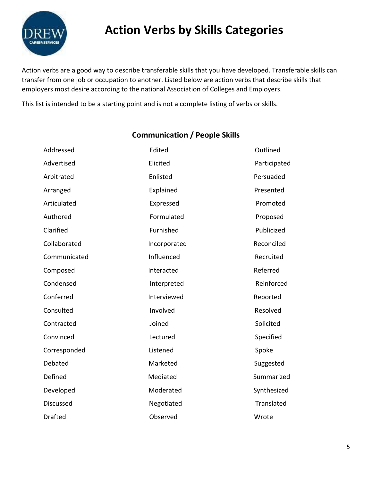

Action verbs are a good way to describe transferable skills that you have developed. Transferable skills can transfer from one job or occupation to another. Listed below are action verbs that describe skills that employers most desire according to the national Association of Colleges and Employers.

This list is intended to be a starting point and is not a complete listing of verbs or skills.

### **Communication / People Skills**

| Addressed        | Edited       | Outlined     |
|------------------|--------------|--------------|
| Advertised       | Elicited     | Participated |
| Arbitrated       | Enlisted     | Persuaded    |
| Arranged         | Explained    | Presented    |
| Articulated      | Expressed    | Promoted     |
| Authored         | Formulated   | Proposed     |
| Clarified        | Furnished    | Publicized   |
| Collaborated     | Incorporated | Reconciled   |
| Communicated     | Influenced   | Recruited    |
| Composed         | Interacted   | Referred     |
| Condensed        | Interpreted  | Reinforced   |
| Conferred        | Interviewed  | Reported     |
| Consulted        | Involved     | Resolved     |
| Contracted       | Joined       | Solicited    |
| Convinced        | Lectured     | Specified    |
| Corresponded     | Listened     | Spoke        |
| Debated          | Marketed     | Suggested    |
| Defined          | Mediated     | Summarized   |
| Developed        | Moderated    | Synthesized  |
| <b>Discussed</b> | Negotiated   | Translated   |
| <b>Drafted</b>   | Observed     | Wrote        |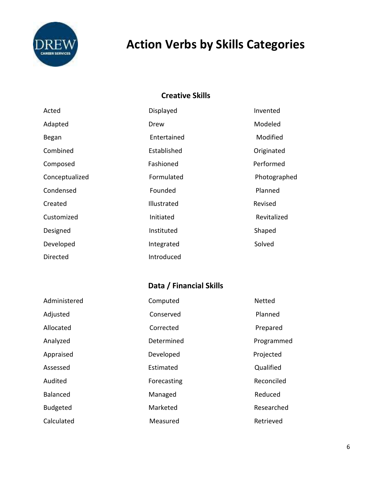

### **Creative Skills**

| Acted          | Displayed   | Invented     |
|----------------|-------------|--------------|
| Adapted        | Drew        | Modeled      |
| Began          | Entertained | Modified     |
| Combined       | Established | Originated   |
| Composed       | Fashioned   | Performed    |
| Conceptualized | Formulated  | Photographed |
| Condensed      | Founded     | Planned      |
| Created        | Illustrated | Revised      |
| Customized     | Initiated   | Revitalized  |
| Designed       | Instituted  | Shaped       |
| Developed      | Integrated  | Solved       |
| Directed       | Introduced  |              |

## **Data / Financial Skills**

| Administered    | Computed    | Netted     |
|-----------------|-------------|------------|
| Adjusted        | Conserved   | Planned    |
| Allocated       | Corrected   | Prepared   |
| Analyzed        | Determined  | Programmed |
| Appraised       | Developed   | Projected  |
| Assessed        | Estimated   | Qualified  |
| Audited         | Forecasting | Reconciled |
| <b>Balanced</b> | Managed     | Reduced    |
| <b>Budgeted</b> | Marketed    | Researched |
| Calculated      | Measured    | Retrieved  |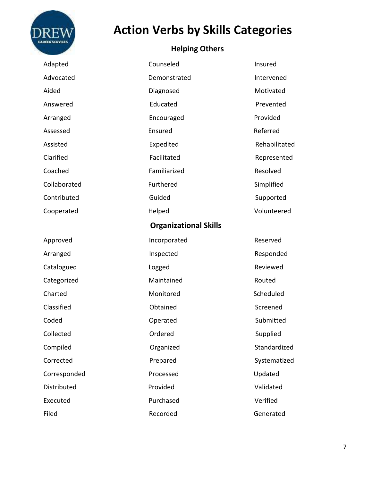

## **Helping Others**

| Adapted      | Counseled                    | Insured       |
|--------------|------------------------------|---------------|
| Advocated    | Demonstrated                 | Intervened    |
| Aided        | Diagnosed                    | Motivated     |
| Answered     | Educated                     | Prevented     |
| Arranged     | Encouraged                   | Provided      |
| Assessed     | Ensured                      | Referred      |
| Assisted     | Expedited                    | Rehabilitated |
| Clarified    | Facilitated                  | Represented   |
| Coached      | Familiarized                 | Resolved      |
| Collaborated | Furthered                    | Simplified    |
| Contributed  | Guided                       | Supported     |
| Cooperated   | Helped                       | Volunteered   |
|              | <b>Organizational Skills</b> |               |
| Approved     | Incorporated                 | Reserved      |
| Arranged     | Inspected                    | Responded     |
| Catalogued   | Logged                       | Reviewed      |
| Categorized  | Maintained                   | Routed        |
| Charted      | Monitored                    | Scheduled     |
| Classified   | Obtained                     | Screened      |
| Coded        | Operated                     | Submitted     |
| Collected    | Ordered                      | Supplied      |
| Compiled     | Organized                    | Standardized  |
| Corrected    | Prepared                     | Systematized  |
| Corresponded | Processed                    | Updated       |
| Distributed  | Provided                     | Validated     |
| Executed     | Purchased                    | Verified      |
| Filed        | Recorded                     | Generated     |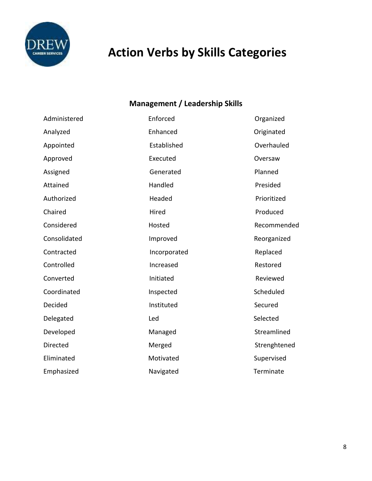

## **Management / Leadership Skills**

| Administered    | Enforced     | Organized    |
|-----------------|--------------|--------------|
| Analyzed        | Enhanced     | Originated   |
| Appointed       | Established  | Overhauled   |
| Approved        | Executed     | Oversaw      |
| Assigned        | Generated    | Planned      |
| Attained        | Handled      | Presided     |
| Authorized      | Headed       | Prioritized  |
| Chaired         | Hired        | Produced     |
| Considered      | Hosted       | Recommended  |
| Consolidated    | Improved     | Reorganized  |
| Contracted      | Incorporated | Replaced     |
| Controlled      | Increased    | Restored     |
| Converted       | Initiated    | Reviewed     |
| Coordinated     | Inspected    | Scheduled    |
| Decided         | Instituted   | Secured      |
| Delegated       | Led          | Selected     |
| Developed       | Managed      | Streamlined  |
| <b>Directed</b> | Merged       | Strenghtened |
| Eliminated      | Motivated    | Supervised   |
| Emphasized      | Navigated    | Terminate    |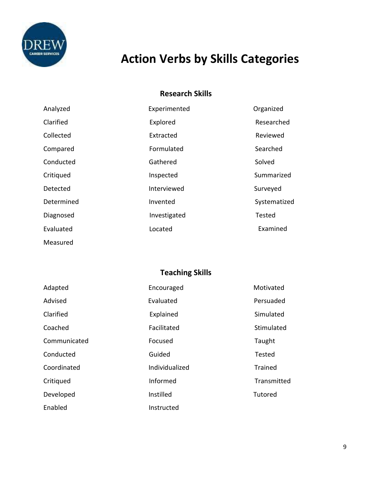

Measured

# **Action Verbs by Skills Categories**

### **Research Skills**

| Analyzed   | Experimented | Organized     |
|------------|--------------|---------------|
| Clarified  | Explored     | Researched    |
| Collected  | Extracted    | Reviewed      |
| Compared   | Formulated   | Searched      |
| Conducted  | Gathered     | Solved        |
| Critiqued  | Inspected    | Summarized    |
| Detected   | Interviewed  | Surveyed      |
| Determined | Invented     | Systematized  |
| Diagnosed  | Investigated | <b>Tested</b> |
| Evaluated  | Located      | Examined      |

**Teaching Skills**

| Adapted      | Encouraged     | Motivated   |
|--------------|----------------|-------------|
| Advised      | Evaluated      | Persuaded   |
| Clarified    | Explained      | Simulated   |
| Coached      | Facilitated    | Stimulated  |
| Communicated | Focused        | Taught      |
| Conducted    | Guided         | Tested      |
| Coordinated  | Individualized | Trained     |
| Critiqued    | Informed       | Transmitted |
| Developed    | Instilled      | Tutored     |
| Enabled      | Instructed     |             |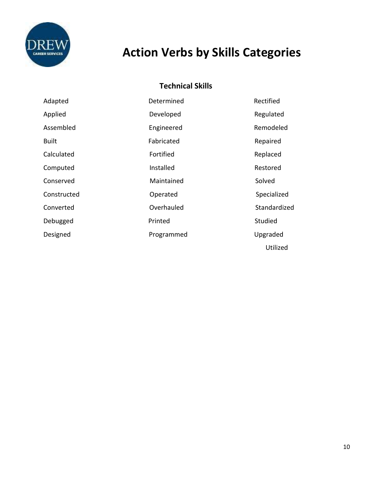

## **Technical Skills**

| Adapted      | Determined | Rectified    |
|--------------|------------|--------------|
| Applied      | Developed  | Regulated    |
| Assembled    | Engineered | Remodeled    |
| <b>Built</b> | Fabricated | Repaired     |
| Calculated   | Fortified  | Replaced     |
| Computed     | Installed  | Restored     |
| Conserved    | Maintained | Solved       |
| Constructed  | Operated   | Specialized  |
| Converted    | Overhauled | Standardized |
| Debugged     | Printed    | Studied      |
| Designed     | Programmed | Upgraded     |
|              |            | Utilized     |

10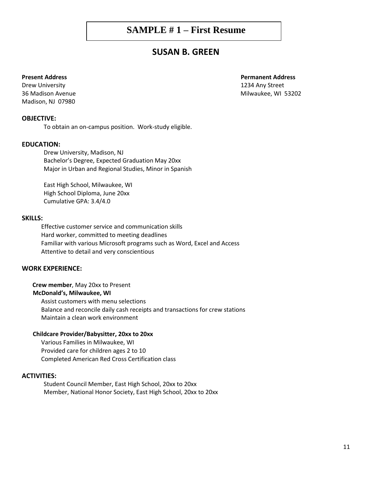### **SAMPLE # 1 – First Resume**

### **SUSAN B. GREEN**

#### **Present Address Permanent Address**

Drew University 1234 Any Street 36 Madison Avenue **Milwaukee**, WI 53202 Madison, NJ 07980

#### **OBJECTIVE:**

To obtain an on-campus position. Work-study eligible.

#### **EDUCATION:**

Drew University, Madison, NJ Bachelor's Degree, Expected Graduation May 20xx Major in Urban and Regional Studies, Minor in Spanish

East High School, Milwaukee, WI High School Diploma, June 20xx Cumulative GPA: 3.4/4.0

#### **SKILLS:**

 Effective customer service and communication skills Hard worker, committed to meeting deadlines Familiar with various Microsoft programs such as Word, Excel and Access Attentive to detail and very conscientious

#### **WORK EXPERIENCE:**

#### **Crew member**, May 20xx to Present

#### **McDonald's, Milwaukee, WI**

 Assist customers with menu selections Balance and reconcile daily cash receipts and transactions for crew stations Maintain a clean work environment

#### **Childcare Provider/Babysitter, 20xx to 20xx**

 Various Families in Milwaukee, WI Provided care for children ages 2 to 10 Completed American Red Cross Certification class

#### **ACTIVITIES:**

Student Council Member, East High School, 20xx to 20xx Member, National Honor Society, East High School, 20xx to 20xx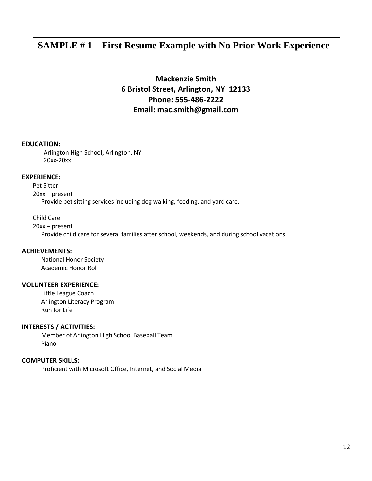## **SAMPLE # 1 – First Resume Example with No Prior Work Experience**

### **Mackenzie Smith 6 Bristol Street, Arlington, NY 12133 Phone: 555-486-2222 Email: mac.smith@gmail.com**

#### **EDUCATION:**

Arlington High School, Arlington, NY 20xx-20xx

#### **EXPERIENCE:**

Pet Sitter 20xx – present

Provide pet sitting services including dog walking, feeding, and yard care.

Child Care

20xx – present

Provide child care for several families after school, weekends, and during school vacations.

#### **ACHIEVEMENTS:**

 National Honor Society Academic Honor Roll

#### **VOLUNTEER EXPERIENCE:**

 Little League Coach Arlington Literacy Program Run for Life

#### **INTERESTS / ACTIVITIES:**

 Member of Arlington High School Baseball Team Piano

#### **COMPUTER SKILLS:**

Proficient with Microsoft Office, Internet, and Social Media